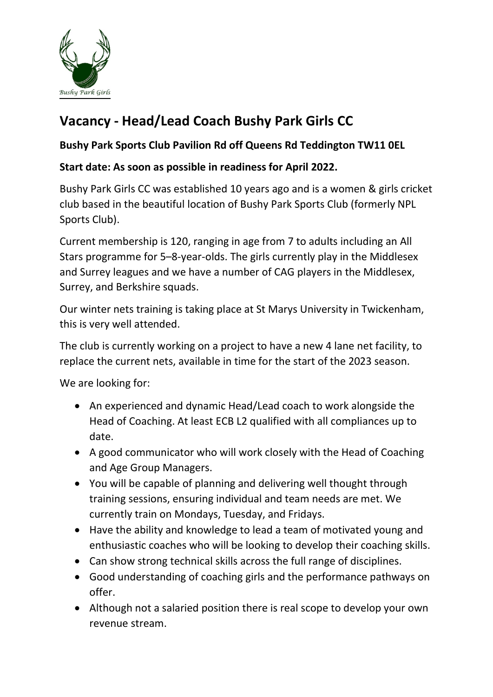

## Vacancy - Head/Lead Coach Bushy Park Girls CC

## Bushy Park Sports Club Pavilion Rd off Queens Rd Teddington TW11 0EL

## Start date: As soon as possible in readiness for April 2022.

Bushy Park Girls CC was established 10 years ago and is a women & girls cricket club based in the beautiful location of Bushy Park Sports Club (formerly NPL Sports Club).

Current membership is 120, ranging in age from 7 to adults including an All Stars programme for 5–8-year-olds. The girls currently play in the Middlesex and Surrey leagues and we have a number of CAG players in the Middlesex, Surrey, and Berkshire squads.

Our winter nets training is taking place at St Marys University in Twickenham, this is very well attended.

The club is currently working on a project to have a new 4 lane net facility, to replace the current nets, available in time for the start of the 2023 season.

We are looking for:

- An experienced and dynamic Head/Lead coach to work alongside the Head of Coaching. At least ECB L2 qualified with all compliances up to date.
- A good communicator who will work closely with the Head of Coaching and Age Group Managers.
- You will be capable of planning and delivering well thought through training sessions, ensuring individual and team needs are met. We currently train on Mondays, Tuesday, and Fridays.
- Have the ability and knowledge to lead a team of motivated young and enthusiastic coaches who will be looking to develop their coaching skills.
- Can show strong technical skills across the full range of disciplines.
- Good understanding of coaching girls and the performance pathways on offer.
- Although not a salaried position there is real scope to develop your own revenue stream.